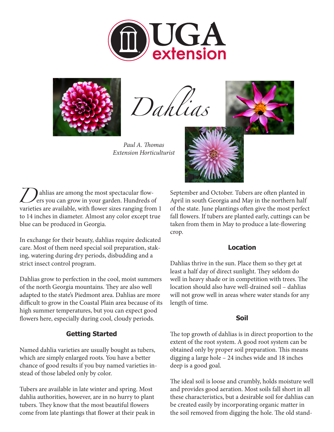



*Dahlias*

*Paul A. Thomas Extension Horticulturist*



**D** ahlias are among the most spectacular flow-<br>ers you can grow in your garden. Hundreds covarieties are available with flower sizes ranging from ers you can grow in your garden. Hundreds of varieties are available, with flower sizes ranging from 1 to 14 inches in diameter. Almost any color except true blue can be produced in Georgia.

In exchange for their beauty, dahlias require dedicated care. Most of them need special soil preparation, staking, watering during dry periods, disbudding and a strict insect control program.

Dahlias grow to perfection in the cool, moist summers of the north Georgia mountains. They are also well adapted to the state's Piedmont area. Dahlias are more difficult to grow in the Coastal Plain area because of its high summer temperatures, but you can expect good flowers here, especially during cool, cloudy periods.

# **Getting Started**

Named dahlia varieties are usually bought as tubers, which are simply enlarged roots. You have a better chance of good results if you buy named varieties instead of those labeled only by color.

Tubers are available in late winter and spring. Most dahlia authorities, however, are in no hurry to plant tubers. They know that the most beautiful flowers come from late plantings that flower at their peak in September and October. Tubers are often planted in April in south Georgia and May in the northern half of the state. June plantings often give the most perfect fall flowers. If tubers are planted early, cuttings can be taken from them in May to produce a late-flowering crop.

#### **Location**

Dahlias thrive in the sun. Place them so they get at least a half day of direct sunlight. They seldom do well in heavy shade or in competition with trees. The location should also have well-drained soil – dahlias will not grow well in areas where water stands for any length of time.

# **Soil**

The top growth of dahlias is in direct proportion to the extent of the root system. A good root system can be obtained only by proper soil preparation. This means digging a large hole – 24 inches wide and 18 inches deep is a good goal.

The ideal soil is loose and crumbly, holds moisture well and provides good aeration. Most soils fall short in all these characteristics, but a desirable soil for dahlias can be created easily by incorporating organic matter in the soil removed from digging the hole. The old stand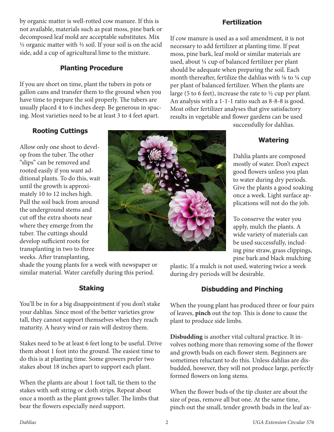by organic matter is well-rotted cow manure. If this is not available, materials such as peat moss, pine bark or decomposed leaf mold are acceptable substitutes. Mix ⅓ organic matter with ⅔ soil. If your soil is on the acid side, add a cup of agricultural lime to the mixture.

#### **Planting Procedure**

If you are short on time, plant the tubers in pots or gallon cans and transfer them to the ground when you have time to prepare the soil properly. The tubers are usually placed 4 to 6 inches deep. Be generous in spacing. Most varieties need to be at least 3 to 4 feet apart.

#### **Fertilization**

If cow manure is used as a soil amendment, it is not necessary to add fertilizer at planting time. If peat moss, pine bark, leaf mold or similar materials are used, about ¼ cup of balanced fertilizer per plant should be adequate when preparing the soil. Each month thereafter, fertilize the dahlias with ⅛ to ¼ cup per plant of balanced fertilizer. When the plants are large (5 to 6 feet), increase the rate to  $\frac{1}{2}$  cup per plant. An analysis with a 1-1-1 ratio such as 8-8-8 is good. Most other fertilizer analyses that give satisfactory results in vegetable and flower gardens can be used

successfully for dahlias.

# **Watering**

Dahlia plants are composed mostly of water. Don't expect good flowers unless you plan to water during dry periods. Give the plants a good soaking once a week. Light surface applications will not do the job.

To conserve the water you apply, mulch the plants. A wide variety of materials can be used successfully, including pine straw, grass clippings, pine bark and black mulching

plastic. If a mulch is not used, watering twice a week during dry periods will be desirable.

# **Disbudding and Pinching**

When the young plant has produced three or four pairs of leaves, **pinch** out the top. This is done to cause the plant to produce side limbs.

**Disbudding** is another vital cultural practice. It involves nothing more than removing some of the flower and growth buds on each flower stem. Beginners are sometimes reluctant to do this. Unless dahlias are disbudded, however, they will not produce large, perfectly formed flowers on long stems.

When the flower buds of the tip cluster are about the size of peas, remove all but one. At the same time, pinch out the small, tender growth buds in the leaf ax-

# **Rooting Cuttings**

Allow only one shoot to develop from the tuber. The other "slips" can be removed and rooted easily if you want additional plants. To do this, wait until the growth is approximately 10 to 12 inches high. Pull the soil back from around the underground stems and cut off the extra shoots near where they emerge from the tuber. The cuttings should develop sufficient roots for transplanting in two to three weeks. After transplanting,

shade the young plants for a week with newspaper or similar material. Water carefully during this period.

# **Staking**

You'll be in for a big disappointment if you don't stake your dahlias. Since most of the better varieties grow tall, they cannot support themselves when they reach maturity. A heavy wind or rain will destroy them.

Stakes need to be at least 6 feet long to be useful. Drive them about 1 foot into the ground. The easiest time to do this is at planting time. Some growers prefer two stakes about 18 inches apart to support each plant.

When the plants are about 1 foot tall, tie them to the stakes with soft string or cloth strips. Repeat about once a month as the plant grows taller. The limbs that bear the flowers especially need support.

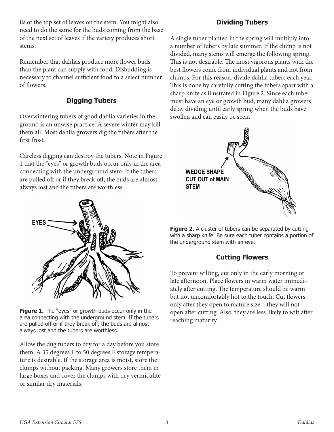ils of the top set of leaves on the stem. You might also need to do the same for the buds coming from the base of the next set of leaves if the variety produces short stems.

Remember that dahlias produce more flower buds than the plant can supply with food. Disbudding is necessary to channel sufficient food to a select number of flowers.

# **Digging Tubers**

Overwintering tubers of good dahlia varieties in the ground is an unwise practice. A severe winter may kill them all. Most dahlia growers dig the tubers after the first frost.

Careless digging can destroy the tubers. Note in Figure 1 that the "eyes" or growth buds occur only in the area connecting with the underground stem. If the tubers are pulled off or if they break off, the buds are almost always lost and the tubers are worthless.



**Figure 1.** The "eyes" or growth buds occur only in the area connecting with the underground stem. If the tubers are pulled off or if they break off, the buds are almost always lost and the tubers are worthless.

Allow the dug tubers to dry for a day before you store them. A 35 degrees F to 50 degrees F storage temperature is desirable. If the storage area is moist, store the clumps without packing. Many growers store them in large boxes and cover the clumps with dry vermiculite or similar dry materials.

# **Dividing Tubers**

A single tuber planted in the spring will multiply into a number of tubers by late summer. If the clump is not divided, many stems will emerge the following spring. This is not desirable. The most vigorous plants with the best flowers come from individual plants and not from clumps. For this reason, divide dahlia tubers each year. This is done by carefully cutting the tubers apart with a sharp knife as illustrated in Figure 2. Since each tuber must have an eye or growth bud, many dahlia growers delay dividing until early spring when the buds have swollen and can easily be seen.



**Figure 2.** A cluster of tubers can be separated by cutting with a sharp knife. Be sure each tuber contains a portion of the underground stem with an eye.

# **Cutting Flowers**

To prevent wilting, cut only in the early morning or late afternoon. Place flowers in warm water immediately after cutting. The temperature should be warm but not uncomfortably hot to the touch. Cut flowers only after they open to mature size – they will not open after cutting. Also, they are less likely to wilt after reaching maturity.